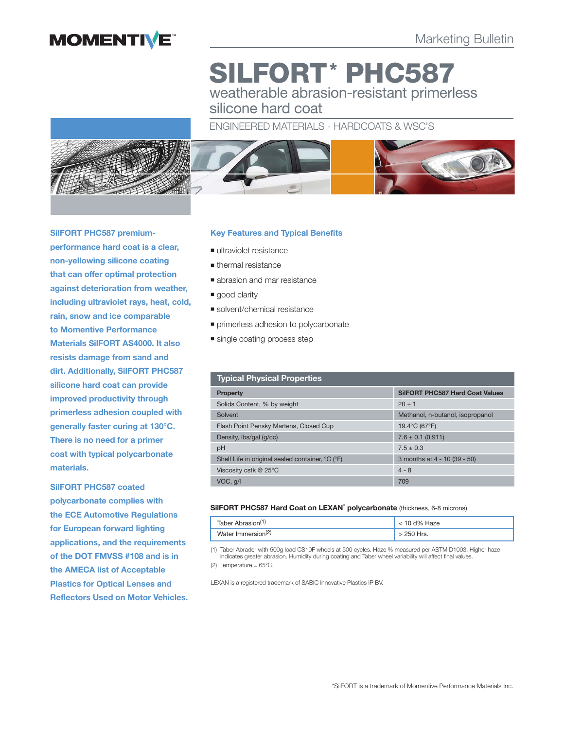

# **SILFORT\* PHC587**  weatherable abrasion-resistant primerless

silicone hard coat

# ENGINEERED MATERIALS - HARDCOATS & WSC'S



**SilFORT PHC587 premiumperformance hard coat is a clear, non-yellowing silicone coating that can offer optimal protection against deterioration from weather, including ultraviolet rays, heat, cold, rain, snow and ice comparable to Momentive Performance Materials SilFORT AS4000. It also resists damage from sand and dirt. Additionally, SilFORT PHC587 silicone hard coat can provide improved productivity through primerless adhesion coupled with generally faster curing at 130°C. There is no need for a primer coat with typical polycarbonate materials.** 

**SilFORT PHC587 coated polycarbonate complies with the ECE Automotive Regulations for European forward lighting applications, and the requirements of the DOT FMVSS #108 and is in the AMECA list of Acceptable Plastics for Optical Lenses and Reflectors Used on Motor Vehicles.**

# **Key Features and Typical Benefits**

- ultraviolet resistance
- thermal resistance
- **abrasion and mar resistance**
- good clarity
- solvent/chemical resistance
- **primerless adhesion to polycarbonate**
- single coating process step

| <b>Typical Physical Properties</b>               |                                        |
|--------------------------------------------------|----------------------------------------|
| <b>Property</b>                                  | <b>SilFORT PHC587 Hard Coat Values</b> |
| Solids Content, % by weight                      | $20 \pm 1$                             |
| Solvent                                          | Methanol, n-butanol, isopropanol       |
| Flash Point Pensky Martens, Closed Cup           | 19.4°C (67°F)                          |
| Density, lbs/gal (g/cc)                          | $7.6 \pm 0.1$ (0.911)                  |
| pH                                               | $7.5 \pm 0.3$                          |
| Shelf Life in original sealed container, °C (°F) | 3 months at 4 - 10 (39 - 50)           |
| Viscosity cstk @ 25°C                            | $4 - 8$                                |
| VOC, q/l                                         | 709                                    |

#### **SilFORT PHC587 Hard Coat on LEXAN**®  **polycarbonate** (thickness, 6-8 microns)

| Taber Abrasion <sup>(1)</sup>  | $<$ 10 d% Haze |
|--------------------------------|----------------|
| Water Immersion <sup>(2)</sup> | 250 Hrs.       |

(1) Taber Abrader with 500g load CS10F wheels at 500 cycles. Haze % measured per ASTM D1003. Higher haze indicates greater abrasion. Humidity during coating and Taber wheel variability will affect final values. (2) Temperature = 65°C.

LEXAN is a registered trademark of SABIC Innovative Plastics IP BV.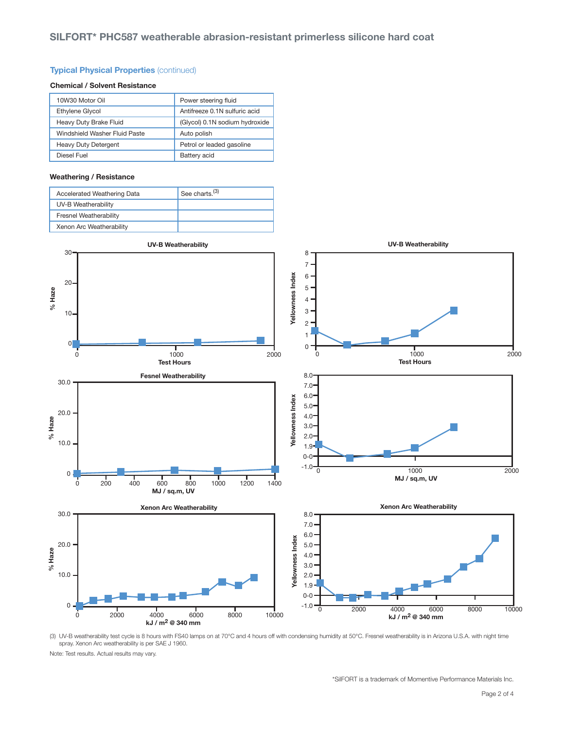### **Typical Physical Properties** (continued)

#### **Chemical / Solvent Resistance**

| 10W30 Motor Oil               | Power steering fluid           |
|-------------------------------|--------------------------------|
| Ethylene Glycol               | Antifreeze 0.1N sulfuric acid  |
| Heavy Duty Brake Fluid        | (Glycol) 0.1N sodium hydroxide |
| Windshield Washer Fluid Paste | Auto polish                    |
| <b>Heavy Duty Detergent</b>   | Petrol or leaded gasoline      |
| Diesel Fuel                   | Battery acid                   |

#### **Weathering / Resistance**

| Accelerated Weathering Data   | See charts. <sup>(3)</sup> |
|-------------------------------|----------------------------|
| UV-B Weatherability           |                            |
| <b>Fresnel Weatherability</b> |                            |
| Xenon Arc Weatherability      |                            |



(3) UV-B weatherability test cycle is 8 hours with FS40 lamps on at 70°C and 4 hours off with condensing humidity at 50°C. Fresnel weatherability is in Arizona U.S.A. with night time spray. Xenon Arc weatherability is per SAE J 1960.

Note: Test results. Actual results may vary.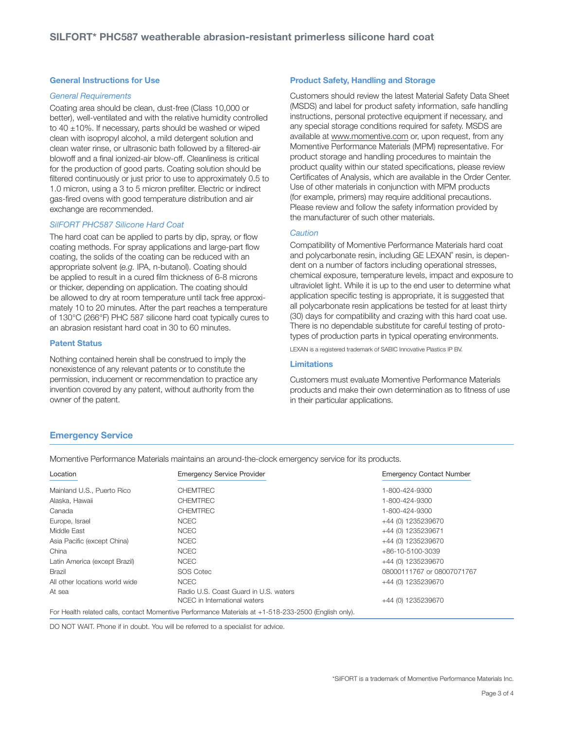#### **General Instructions for Use**

#### General Requirements

Coating area should be clean, dust-free (Class 10,000 or better), well-ventilated and with the relative humidity controlled to  $40 \pm 10\%$ . If necessary, parts should be washed or wiped clean with isopropyl alcohol, a mild detergent solution and clean water rinse, or ultrasonic bath followed by a filtered-air blowoff and a final ionized-air blow-off. Cleanliness is critical for the production of good parts. Coating solution should be filtered continuously or just prior to use to approximately 0.5 to 1.0 micron, using a 3 to 5 micron prefilter. Electric or indirect gas-fired ovens with good temperature distribution and air exchange are recommended.

#### SilFORT PHC587 Silicone Hard Coat

The hard coat can be applied to parts by dip, spray, or flow coating methods. For spray applications and large-part flow coating, the solids of the coating can be reduced with an appropriate solvent (e.g. IPA, n-butanol). Coating should be applied to result in a cured film thickness of 6-8 microns or thicker, depending on application. The coating should be allowed to dry at room temperature until tack free approximately 10 to 20 minutes. After the part reaches a temperature of 130°C (266°F) PHC 587 silicone hard coat typically cures to an abrasion resistant hard coat in 30 to 60 minutes.

#### **Patent Status**

Nothing contained herein shall be construed to imply the nonexistence of any relevant patents or to constitute the permission, inducement or recommendation to practice any invention covered by any patent, without authority from the owner of the patent.

#### **Product Safety, Handling and Storage**

Customers should review the latest Material Safety Data Sheet (MSDS) and label for product safety information, safe handling instructions, personal protective equipment if necessary, and any special storage conditions required for safety. MSDS are available at www.momentive.com or, upon request, from any Momentive Performance Materials (MPM) representative. For product storage and handling procedures to maintain the product quality within our stated specifications, please review Certificates of Analysis, which are available in the Order Center. Use of other materials in conjunction with MPM products (for example, primers) may require additional precautions. Please review and follow the safety information provided by the manufacturer of such other materials.

#### **Caution**

Compatibility of Momentive Performance Materials hard coat and polycarbonate resin, including GE LEXAN° resin, is dependent on a number of factors including operational stresses, chemical exposure, temperature levels, impact and exposure to ultraviolet light. While it is up to the end user to determine what application specific testing is appropriate, it is suggested that all polycarbonate resin applications be tested for at least thirty (30) days for compatibility and crazing with this hard coat use. There is no dependable substitute for careful testing of prototypes of production parts in typical operating environments.

LEXAN is a registered trademark of SABIC Innovative Plastics IP BV.

#### **Limitations**

Customers must evaluate Momentive Performance Materials products and make their own determination as to fitness of use in their particular applications.

# **Emergency Service**

Momentive Performance Materials maintains an around-the-clock emergency service for its products.

| Location                       | <b>Emergency Service Provider</b>                                                                    | <b>Emergency Contact Number</b> |
|--------------------------------|------------------------------------------------------------------------------------------------------|---------------------------------|
| Mainland U.S., Puerto Rico     | <b>CHEMTREC</b>                                                                                      | 1-800-424-9300                  |
| Alaska, Hawaii                 | <b>CHEMTREC</b>                                                                                      | 1-800-424-9300                  |
| Canada                         | <b>CHEMTREC</b>                                                                                      | 1-800-424-9300                  |
| Europe, Israel                 | <b>NCEC</b>                                                                                          | +44 (0) 1235239670              |
| Middle East                    | <b>NCEC</b>                                                                                          | +44 (0) 1235239671              |
| Asia Pacific (except China)    | <b>NCEC</b>                                                                                          | +44 (0) 1235239670              |
| China                          | <b>NCEC</b>                                                                                          | +86-10-5100-3039                |
| Latin America (except Brazil)  | <b>NCEC</b>                                                                                          | +44 (0) 1235239670              |
| Brazil                         | <b>SOS Cotec</b>                                                                                     | 08000111767 or 08007071767      |
| All other locations world wide | <b>NCEC</b>                                                                                          | +44 (0) 1235239670              |
| At sea                         | Radio U.S. Coast Guard in U.S. waters<br>NCEC in International waters                                | +44 (0) 1235239670              |
|                                | For Health related calls, contact Momentive Performance Materials at +1-518-233-2500 (English only). |                                 |

DO NOT WAIT. Phone if in doubt. You will be referred to a specialist for advice.